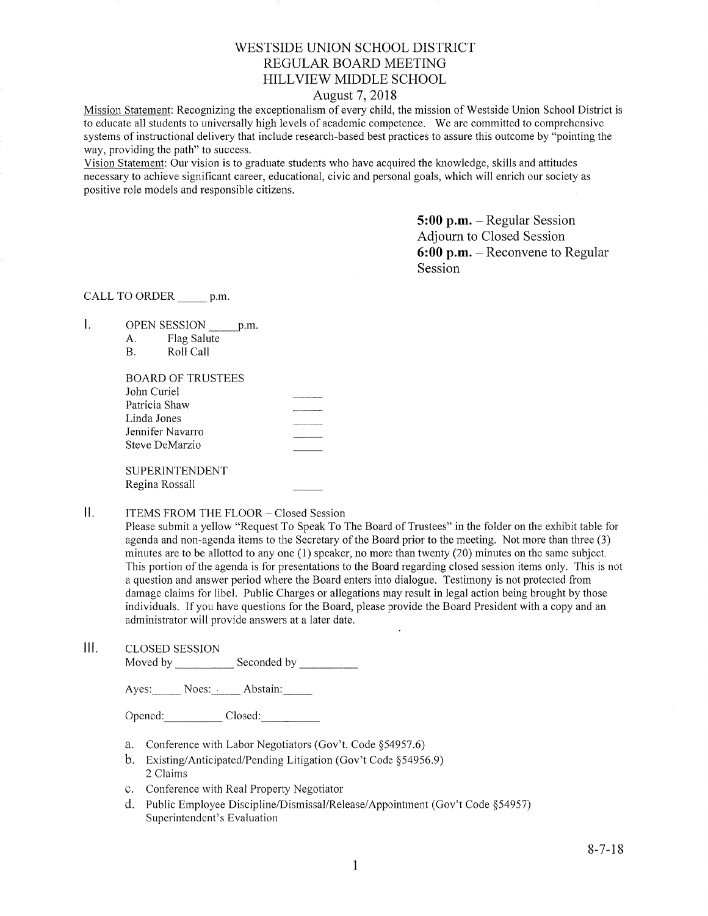# WESTSIDE UNION SCHOOL DISTRICT REGULAR BOARD MEETING HILLVIEV/ MIDDLE SCHOOL

## August 7,2018

Mission Statement: Recognizing the exceptionalism of every child, the mission of Westside Union School District is to educate all students to universally high levels of academic competence. We are committed to comprehensive systems of instructional delivery that include research-based best practices to assure this outcome by "pointing the way, providing the path" to success.

Vision Statement: Our vision is to graduate students who have acquired the knowledge, skills and attitudes necessary to achieve significant career, educational, civic and personal goals, which will enrich our society as positive role rnodels and responsible citizens.

> 5:00 p.m. - Regular Session Adjourn to Closed Session 6:00 p.m. - Reconvene to Regular Session

CALL TO ORDER \_\_\_\_\_\_ p.m.

 $\mathbf{L}$ OPEN SESSION p.m.

| А. | Flag Salute |
|----|-------------|
| В. | Roll Call   |

| BOARD OF TRUSTEES     |  |
|-----------------------|--|
| John Curiel           |  |
| Patricia Shaw         |  |
| Linda Jones           |  |
| Jennifer Navarro      |  |
| Steve DeMarzio        |  |
| <b>SUPERINTENDENT</b> |  |
| Regina Rossall        |  |

 $II.$ ITEMS FROM THE FLOOR - Closed Session

> Please submit a yellow "Request To Speak To The Board of Trustees" in the folder on the exhibit table for agenda and non-agenda items to the Secretary of the Board prior to the meeting. Not more than three (3) minutes are to be allotted to any one (1) speaker, no more than twenty (20) minutes on the same subject. This portion of the agenda is for presentations to the Board regarding closed session items only. This is not a question and answer period where the Board enters into dialogue. Testimony is not protected from damage claims for libel. Public Charges or allegations may result in legal action being brought by those individuals. Ifyou have questions for the Board, please provide the Board President with a copy and an administrator will provide answers at a later date.

III. CLOSED SESSION Moved by \_\_\_\_\_\_\_\_\_\_\_\_ Seconded by \_

Ayes: Noes: Abstain:

Opened: Closed:

- a. Conference with Labor Negotiators (Gov't. Code \$54957.6)
- b. Existing/Anticipated/Pending Litigation (Gov't Code \$54956.9) 2 Claims
- c. Conference with Real Property Negotiator
- d. Public Employee Discipline/Dismissal/Release/Appointment (Gov't Code §54957) Superintendent's Evaluation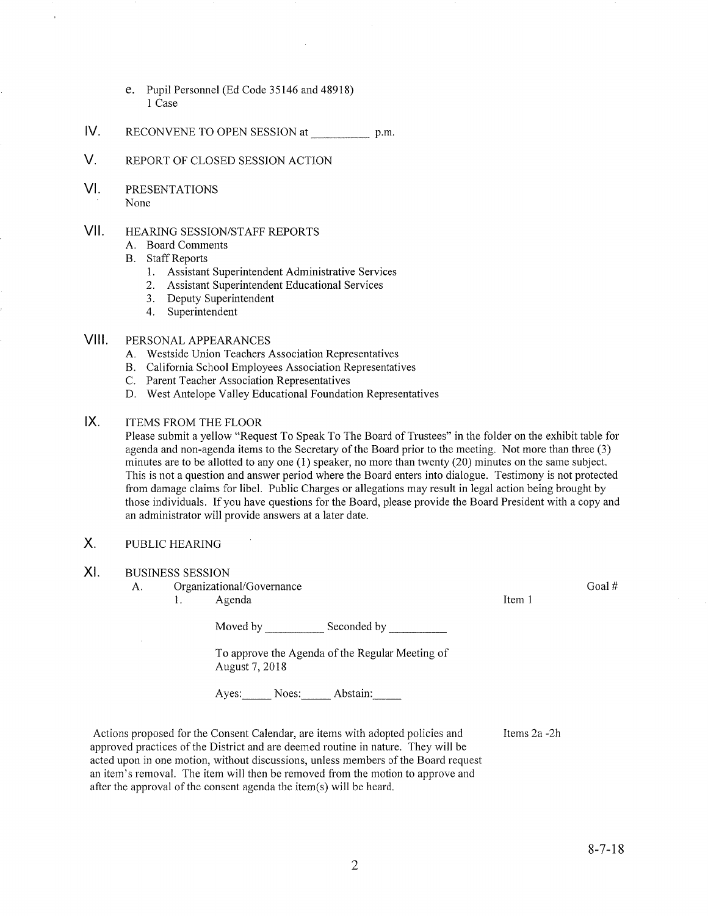- e. Pupil Personnel (Ed Code 35146 and 48918) 1 Case
- lV. RECoNVENE To opEN SESSIoN at \_ p.m
- V. REPoRT oF cLosED SESSIoN ACTIoN
- VI. PRESENTATIONS None

## VII. HEARING SESSION/STAFF REPORTS

- A. Board Comments
- B. Staff Reports
	- 1. Assistant Superintendent Administrative Services
	- 2. Assistant Superintendent Educational Services
	- 3. Deputy Superintendent
	- 4. Superintendent

## Vlll. PERSoNALAPPEARANCES

- A. Westside Union Teachers Association Representatives
- B. California School Employees Association Representatives C. Parent Teacher Association Representatives
- 
- D. West Antelope Valley Educational Foundation Representatives

#### $IX.$ ITEMS FROM THE FLOOR

Please submit a yellow "Request To Speak To The Board of Trustees" in the folder on the exhibit table for agenda and non-agenda items to the Secretary of the Board prior to the meeting. Not more than three (3) minutes are to be allotted to any one (1) speaker, no more than twenty (20) minutes on the same subject. This is not a question and answer period where the Board enters into dialogue. Testimony is not protected from damage claims for libel. Public Charges or allegations may result in legal action being brought by those individuals. If you have questions for the Board, please provide the Board President with a copy and an administrator will provide answers at alater date.

## X. PUBLIC HEAzuNG

BUSINESS SESSION XI

A. Organizational/Governance

1. Agenda

Moved by \_\_\_\_\_\_\_\_\_\_\_\_\_\_ Seconded by

To approve the Agenda of the Regular Meeting of August 7,2018

Ayes: Noes: Abstain:

Actions proposed for the Consent Calendar, are items with adopted policies and approved practices of the District and are deemed routine in nafure. They will be acted upon in one motion, without discussions, unless members of the Board request an item's removal. The item will then be removed from the motion to approve and after the approval of the consent agenda the item(s) will be heard.

Items 2a -2h

Item <sup>1</sup>

Goal #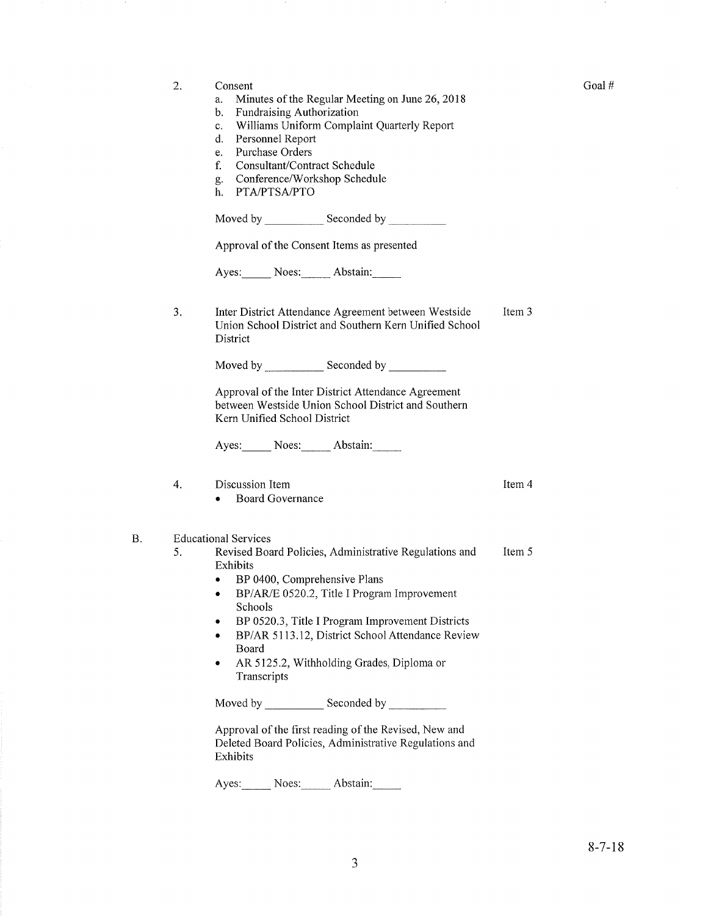a. Minutes of the Regular Meeting on June 26,2078 b. FundraisingAuthorization c. Williams Uniform Complaint Quarterly Report d. Personnel Report e. Purchase Orders f. Consultant/Contract Schedule g. Conference/Workshop Schedule h. PTA/PTSA/PTO Moved by Seconded by Seconded by Seconded by Seconded by Seconded by Seconded by Seconded by Seconded by Seconded by Seconded by Seconded by Seconded by Seconded by Seconded by Seconded by Seconded by Seconded by Seconded Approval of the Consent Items as presented Ayes: Noes: Abstain: Inter District Attendance Agreement between Westside Union School District and Southem Kern Unified School District Item 3 Item 4 Item 5 3 Moved by \_\_\_\_\_\_\_\_\_\_\_\_\_ Seconded by \_ Approval of the Inter District Attendance Agreement between Westside Union School District and Southern Kern Unified School District Ayes: Noes: Abstain: 4. Discussion Item • Board Governance Educational Services 5. Revised Board Policies, Administrative Regulations and Exhibits • BP 0400, Comprehensive Plans • BP/AR/E 0520.2, Title I Program Improvement Schools . BP 0520.3, Title I Program Improvement Districts • BP/AR 5113.12, District School Attendance Review Board • AR 5125.2, Withholding Grades, Diploma or **Transcripts** Moved by Seconded by Approval of the first reading of the Revised, New and Deleted Board Policies, Administrative Regulations and Exhibits Ayes: Noes: Abstain:

2. Consent

B.

Goal #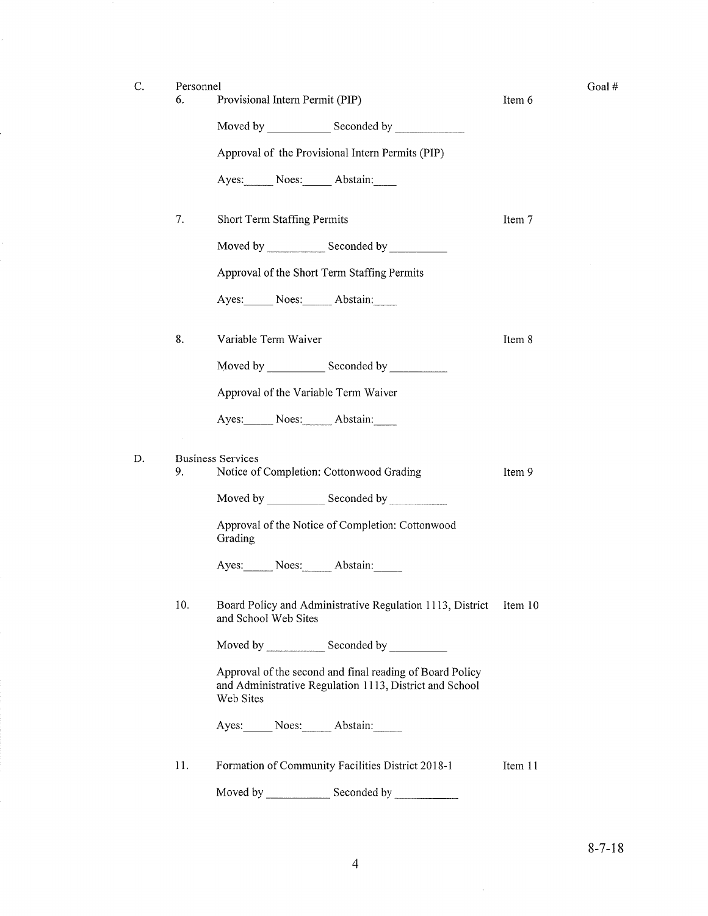k,

D

| Personnel |                                                                                                                                                                                                                               |         | Goal # |
|-----------|-------------------------------------------------------------------------------------------------------------------------------------------------------------------------------------------------------------------------------|---------|--------|
| 6.        | Provisional Intern Permit (PIP)                                                                                                                                                                                               | Item 6  |        |
|           | Moved by Seconded by Seconded by Seconded by Seconded by Seconded by Seconded by Seconded by Seconded by Seconded by Seconded by Seconded by Seconded by Seconded by Seconded by Seconded by Seconded by Seconded by Seconded |         |        |
|           | Approval of the Provisional Intern Permits (PIP)                                                                                                                                                                              |         |        |
|           | Ayes: Noes: Abstain:                                                                                                                                                                                                          |         |        |
| 7.        | Short Term Staffing Permits                                                                                                                                                                                                   | Item 7  |        |
|           | Moved by Seconded by                                                                                                                                                                                                          |         |        |
|           | Approval of the Short Term Staffing Permits                                                                                                                                                                                   |         |        |
|           | Ayes: Noes: Abstain:                                                                                                                                                                                                          |         |        |
| 8.        | Variable Term Waiver                                                                                                                                                                                                          | Item 8  |        |
|           |                                                                                                                                                                                                                               |         |        |
|           | Approval of the Variable Term Waiver                                                                                                                                                                                          |         |        |
|           | Ayes: Noes: Abstain:                                                                                                                                                                                                          |         |        |
| 9.        | <b>Business Services</b><br>Notice of Completion: Cottonwood Grading                                                                                                                                                          | Item 9  |        |
|           |                                                                                                                                                                                                                               |         |        |
|           | Approval of the Notice of Completion: Cottonwood<br>Grading                                                                                                                                                                   |         |        |
|           | Ayes: Noes: Abstain:                                                                                                                                                                                                          |         |        |
| 10.       | Board Policy and Administrative Regulation 1113, District<br>and School Web Sites                                                                                                                                             | Item 10 |        |
|           |                                                                                                                                                                                                                               |         |        |
|           | Approval of the second and final reading of Board Policy<br>and Administrative Regulation 1113, District and School<br>Web Sites                                                                                              |         |        |
|           | Ayes: Noes: Abstain:                                                                                                                                                                                                          |         |        |
| 11.       | Formation of Community Facilities District 2018-1                                                                                                                                                                             | Item 11 |        |

 $\cdot$ 

Moved by \_\_\_\_\_\_\_\_\_\_\_\_\_\_\_ Seconded by

 $\sim$   $\sim$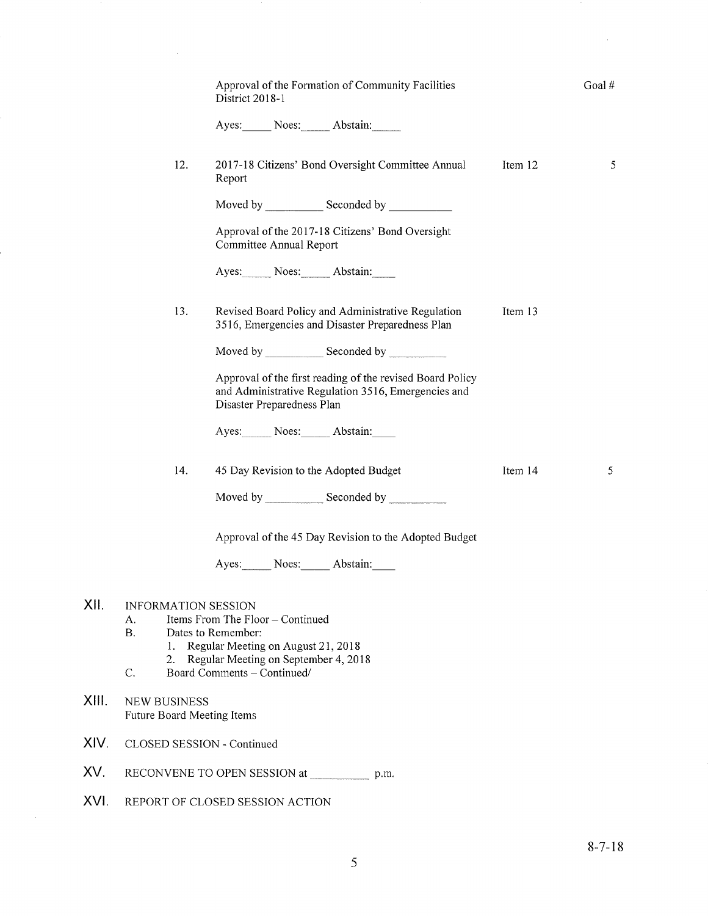|                                                           | Approval of the Formation of Community Facilities<br>District 2018-1                                                                           |         | Goal# |
|-----------------------------------------------------------|------------------------------------------------------------------------------------------------------------------------------------------------|---------|-------|
|                                                           | Ayes: Noes: Abstain:                                                                                                                           |         |       |
| 12.                                                       | 2017-18 Citizens' Bond Oversight Committee Annual<br>Report                                                                                    | Item 12 | 5     |
|                                                           |                                                                                                                                                |         |       |
|                                                           | Approval of the 2017-18 Citizens' Bond Oversight<br>Committee Annual Report                                                                    |         |       |
|                                                           | Ayes: Noes: Abstain:                                                                                                                           |         |       |
| 13.                                                       | Revised Board Policy and Administrative Regulation<br>3516, Emergencies and Disaster Preparedness Plan                                         | Item 13 |       |
|                                                           |                                                                                                                                                |         |       |
|                                                           | Approval of the first reading of the revised Board Policy<br>and Administrative Regulation 3516, Emergencies and<br>Disaster Preparedness Plan |         |       |
|                                                           | Ayes: Noes: Abstain:                                                                                                                           |         |       |
| 14.                                                       | 45 Day Revision to the Adopted Budget                                                                                                          | Item 14 | 5     |
|                                                           | Moved by ________________ Seconded by _____________                                                                                            |         |       |
|                                                           | Approval of the 45 Day Revision to the Adopted Budget                                                                                          |         |       |
|                                                           | Ayes: Noes: Abstain:                                                                                                                           |         |       |
| <b>INFORMATION SESSION</b><br>А.<br><b>B.</b><br>1.<br>2. | Items From The Floor – Continued<br>Dates to Remember:<br>Regular Meeting on August 21, 2018<br>Regular Meeting on September 4, 2018           |         |       |
| C.                                                        | Board Comments - Continued/                                                                                                                    |         |       |
| <b>NEW BUSINESS</b><br>Future Board Meeting Items         |                                                                                                                                                |         |       |
| CLOSED SESSION - Continued                                |                                                                                                                                                |         |       |
|                                                           | RECONVENE TO OPEN SESSION at<br>p.m.                                                                                                           |         |       |
|                                                           | REPORT OF CLOSED SESSION ACTION                                                                                                                |         |       |

xil

XIII.

XIV

XV.

XVI

 $\mathcal{A}^{\pm}$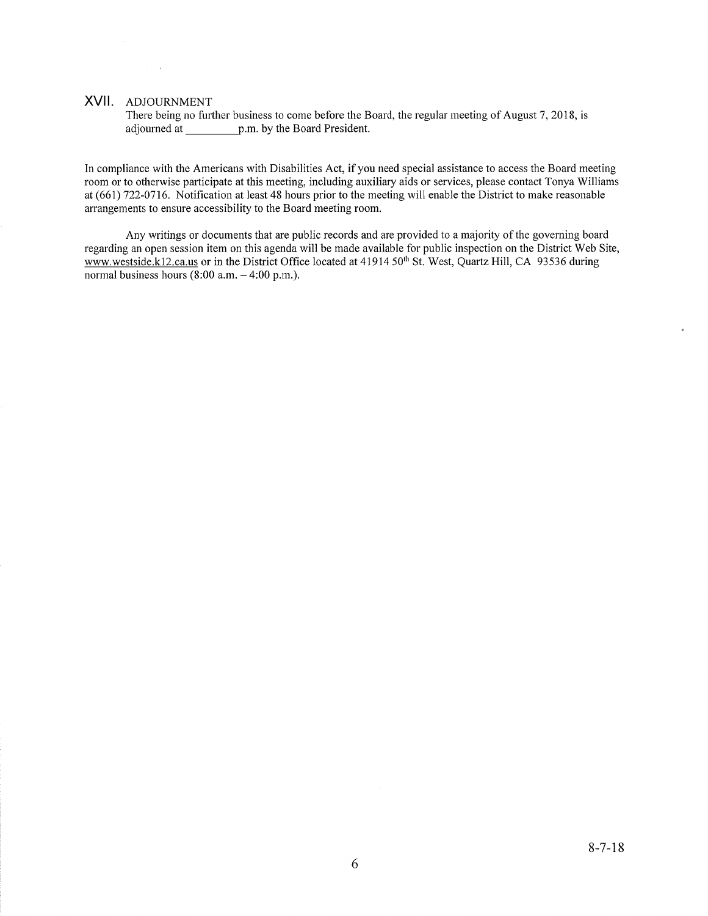## XVll. ADJoURNMENT

 $\mathcal{L}^{\mathcal{L}}(\mathcal{L}^{\mathcal{L}})$  ,  $\mathcal{L}^{\mathcal{L}}(\mathcal{L}^{\mathcal{L}})$ 

There being no further business to come before the Board, the regular meeting of August 7, 2018, is adjourned at \_\_\_\_\_\_\_ p.m. by the Board President.

In compliance with the Americans with Disabilities Act, if you need special assistance to access the Board meeting room or to otherwise participate at this meeting, including auxiliary aids or services, please contact Tonya Williams at (661) 722-0716. Notification at least 48 hours prior to the meeting will enable the District to make reasonable arrangements to ensure accessibility to the Board meeting room.

Any writings or documents that are public records and are provided to a majority of the governing board regarding an open session item on this agenda will be made available for public inspection on the District Web Site, www.westside.k12.ca.us or in the District Office located at 41914 50<sup>th</sup> St. West, Quartz Hill, CA 93536 during normal business hours  $(8:00 a.m. - 4:00 p.m.).$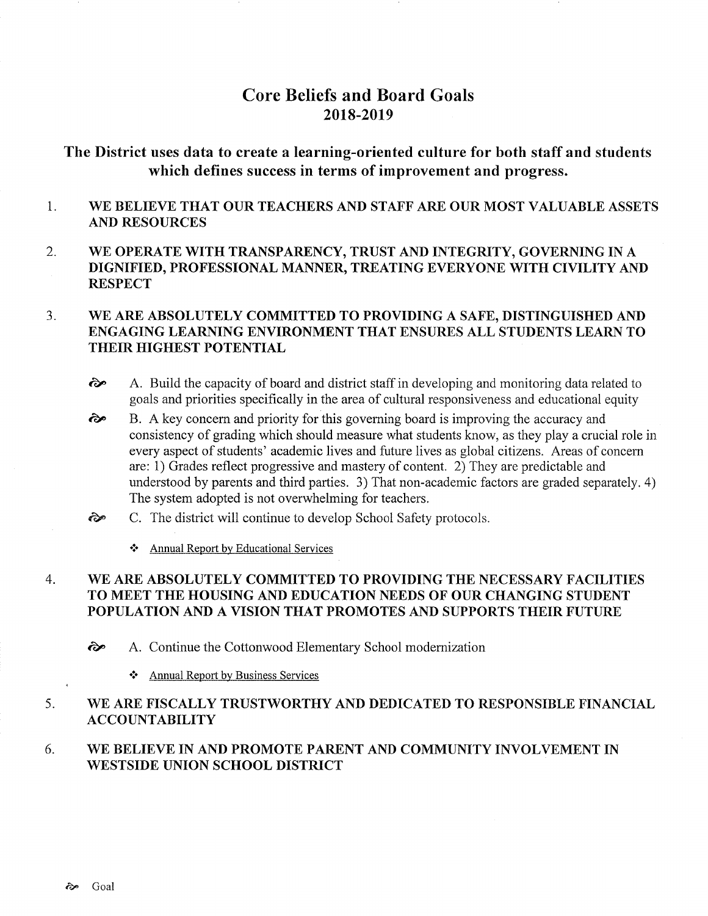# Core Beliefs and Board Goals 2018-2019

# The District uses data to create a learning-oriented culture for both staff and students which defines success in terms of improvement and progress.

- 1 WE BELIEVE THAT OUR TEACHERS AND STAFF ARE OUR MOST VALUABLE ASSETS AND RESOURCES
- 2. WE OPERATE WITH TRANSPARENCY, TRUST AND INTEGRITY, GOVERNING IN A DIGNIFIED, PROFESSIONAL MANNER, TREATING EVERYONE WITH CIVILITY AND **RESPECT**

### WE ARE ABSOLUTELY COMMITTED TO PROVIDING A SAFE, DISTINGUISHED AND ENGAGING LEARNING ENVIRONMENT THAT ENSURES ALL STUDENTS LEARN TO THEIR HIGHEST POTENTIAL J

- ôp A. Build the capacity of board and district staff in developing and monitoring data related to goals and priorities specifically in the area of cultural responsiveness and educational equity
- B. A key concem and priority for this governing board is improving the accuracy and consistency of grading which should measure what students know, as they play a crucial role in every aspect of students' academic lives and future lives as global citizens. Areas of concern are: 1) Grades reflect progressive and mastery of content. 2) They are predictable and understood by parents and third parties. 3) That non-academic factors are graded separately. 4) The system adopted is not overwhelming for teachers. ôp
- C. The district will continue to develop School Safety protocols.  $\hat{\epsilon}$ 
	- \* Annual Report by Educational Services

### WE ARE ABSOLUTELY COMMITTED TO PROVIDING THE NECESSARY FACILITIES TO MEET THE HOUSING AND EDUCATION NEEDS OF OUR CHANGING STUDENT POPULATION AND A VISION THAT PROMOTES AND SUPPORTS THEIR FUTURE 4

- $\hat{\mathcal{C}}$  A. Continue the Cottonwood Elementary School modernization
	- \* Annual Repoft bv Business Services

#### WE ARE FISCALLY TRUSTWORTHY AND DEDICATED TO RESPONSIBLE FINANCIAL ACCOUNTABILITY 5

#### WE BELIEVE IN AND PROMOTE PARENT AND COMMUNITY INVOLVEMENT IN WESTSIDE UNION SCHOOL DISTRICT 6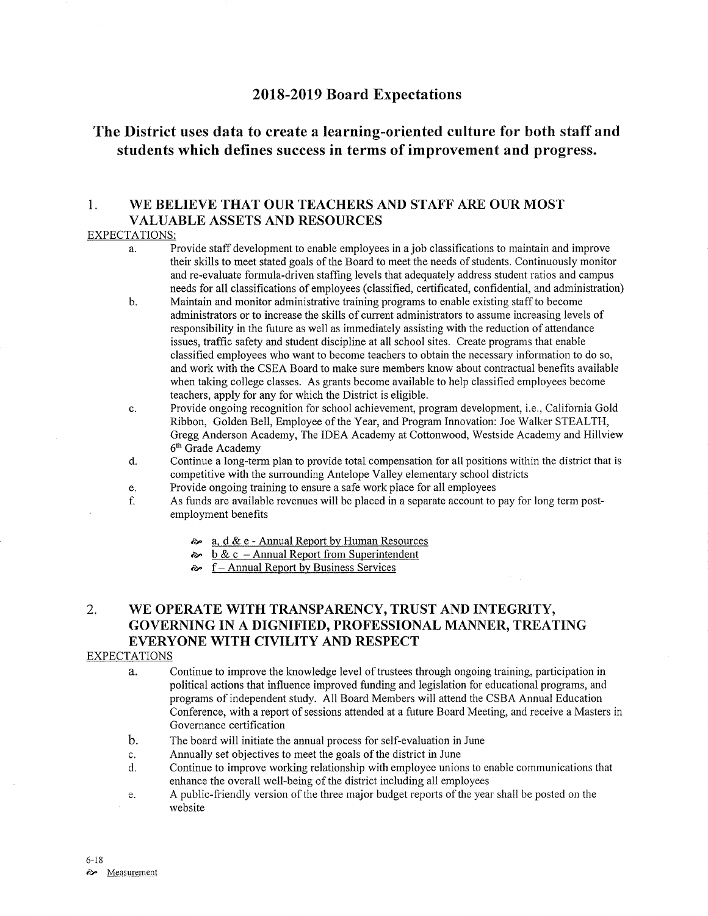# 2018-2019 Board Expectations

# The District uses data to create a learning-oriented culture for both staff and students which defines success in terms of improvement and progress.

## 1. WE BELIEVE THAT OUR TEACHERS AND STAFF ARE OUR MOST VALUABLE ASSETS AND RESOURCES

## EXPECTATIONS:

- a. Provide staff development to enable employees in a job classifications to maintain and improve their skills to meet stated goals of the Board to meet the needs of students. Continuously monitor and re-evaluate formula-driven staffing levels that adequately address student ratios and campus needs for all classifications of employees (classified, certificated, confidential, and administration)
- Maintain and monitor administrative training programs to enable existing staff to become administrators or to increase the skills of current administrators to assume increasing levels of responsibility in the future as well as immediately assisting with the reduction of attendance issues, traffic safety and student discipline at all school sites. Create programs that enable classified employees who want to become teachers to obtain the necessary information to do so, and work with the CSEA Board to make sure members know about contractual benefits available when taking college classes. As grants become available to help classified employees become teachers, apply for any for which the District is eligible. b
- Provide ongoing recognition for school achievement, program development, i.e., California Gold Ribbon, Golden Bell, Employee of the Year, and Program Innovation: Joe Walker STEALTH, Gregg Anderson Academy, The IDEA Academy at Cottonwood, Westside Academy and Hillview 6<sup>th</sup> Grade Academy c.
- Continue a long-term plan to provide total compensation for all positions within the district that is competitive with the surrounding Antelope Valley elementary school districts d.
- Provide ongoing training to ensure a safe work place for all employees e.
- As funds are available revenues will be placed in a separate account to pay for long term postemployment benefits f.
	- $\approx a$ , d & e Annual Report by Human Resources
	- $\approx$  b & c Annual Report from Superintendent
	- $\approx$  f Annual Report by Business Services

# 2. WE OPERATE WITH TRANSPARENCY, TRUST AND INTEGRITY, GOVERNING IN A DIGNIFIED, PROFESSIONAL MANNER, TREATING EVERYONE WITH CIVILITY AND RESPECT

## EXPECTATIONS

- a. Continue to improve the knowledge level of trustees through ongoing training, parlicipation in political actions that influence improved funding and legislation for educational programs, and programs of independent study. All Board Members will attend the CSBA Annual Education Conference, with a report of sessions attended at a future Board Meeting, and receive a Masters in Governance certification
- b. The board will initiate the annual process for self-evaluation in June
- 
- c. Annually set objectives to meet the goals of the district in June d. Continue to improve working relationship with employee unions to enable communications that enhance the overall well-being of the district including all employees
- e. A public-friendly version of the three major budget reports of the year shall be posted on the website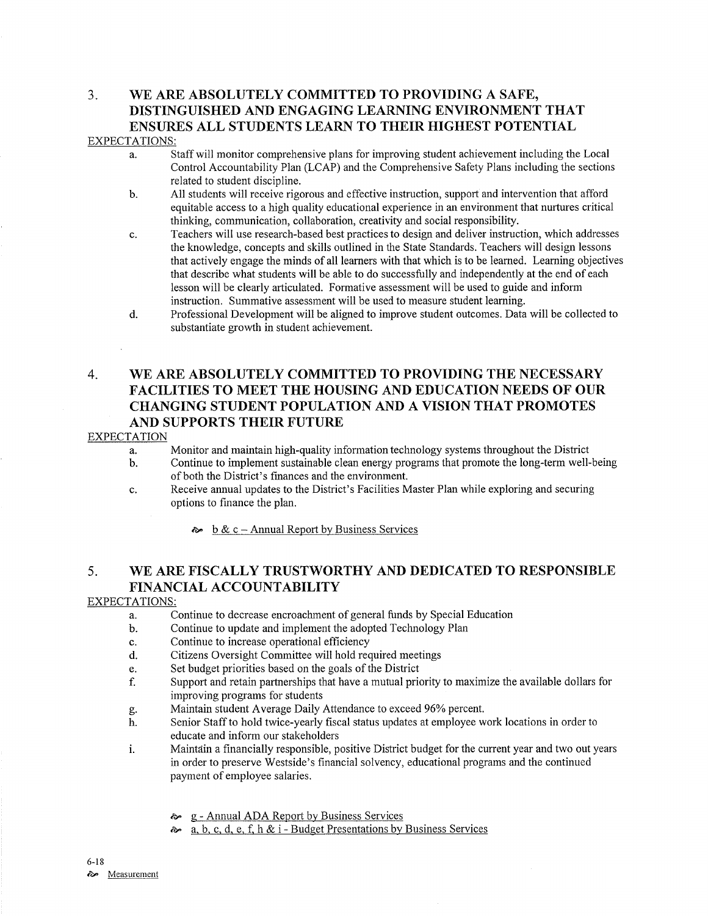# 3. WE ARE ABSOLUTELY COMMITTED TO PROVIDING A SAFE, DISTINGUISHED AND ENGAGING LEARNING ENVIRONMENT THAT ENSURES ALL STUDENTS LEARN TO THEIR HIGHEST POTENTIAL

### EXPECTATIONS:

- a. Staff will monitor comprehensive plans for improving student achievement including the Local Control Accountability Plan (LCAP) and the Comprehensive Safety Plans including the sections related to student discipline.
- b. All students will receive rigorous and effective instruction, support and intervention that afford equitable access to a high quality educational experience in an environment that nurtures critical thinking, communication, collaboration, creativity and social responsibility.
- c. Teachers will use research-based best practices to design and deliver instruction, which addresses the knowledge, concepts and skills outlined in the State Standards. Teachers will design lessons that actively engage the minds of all leamers with that which is to be learned. Learning objectives that describe what students will be able to do successfully and independently at the end of each lesson will be clearly articulated. Formative assessment will be used to guide and inform instruction. Summative assessment will be used to measure student learning.
- d. Professional Development will be aligned to improve student outcomes. Data will be collected to substantiate growth in student achievement.

# 4. WE ARE ABSOLUTELY COMMITTED TO PROVIDING THE NECESSARY FACILITIES TO MEET THE HOUSING AND EDUCATION NEEDS OF OUR CHANGING STUDENT POPULATION AND A VISION THAT PROMOTES AND SUPPORTS THEIR FUTURE

## EXPECTATION

- a. Monitor and maintain high-quality information technology systems throughout the District
- b. Continue to implement sustainable clean energy programs that promote the long-term well-being of both the District's finances and the environment.
- c. Receive annual updates to the District's Facilities Master Plan while exploring and securing options to finance the plan.
	- $\approx$  b & c Annual Report by Business Services

# 5. WE ARE FISCALLY TRUSTWORTHY AND DEDICATED TO RESPONSIBLE FINANCIAL ACCOUNTABILITY

## EXPECTATIONS:

- a. Continue to decrease encroachment of general funds by Special Education
- b. Continue to update and implement the adopted Technology Plan
- c. Continue to increase operational efficiency
- d. Citizens Oversight Committee will hold required meetings
- e. Set budget priorities based on the goals of the District
- f. Support and retain partnerships that have a mutual priority to maximize the available dollars for improving programs for students
- 
- g. Maintain student Average Daily Attendance to exceed 96% percent.<br>
h. Senior Staff to hold twice-yearly fiscal status updates at employee work locations in order to educate and inform our stakeholders
- i. Maintain a financially responsible, positive District budget for the current year and two out years in order to preserve Westside's financial solvency, educational programs and the continued payment of employee salaries.
	- a g Annual ADA Report by Business Services
	- $\approx a, b, c, d, e, f, h \& i$  Budget Presentations by Business Services